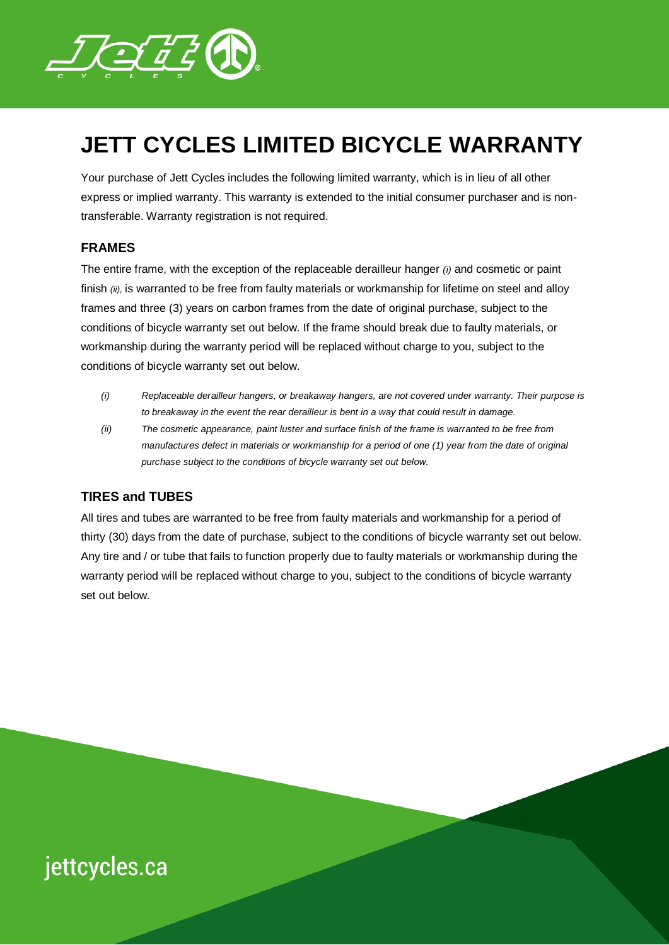

### **JETT CYCLES LIMITED BICYCLE WARRANTY**

Your purchase of Jett Cycles includes the following limited warranty, which is in lieu of all other express or implied warranty. This warranty is extended to the initial consumer purchaser and is nontransferable. Warranty registration is not required.

#### **FRAMES**

The entire frame, with the exception of the replaceable derailleur hanger *(i)* and cosmetic or paint finish *(ii),* is warranted to be free from faulty materials or workmanship for lifetime on steel and alloy frames and three (3) years on carbon frames from the date of original purchase, subject to the conditions of bicycle warranty set out below. If the frame should break due to faulty materials, or workmanship during the warranty period will be replaced without charge to you, subject to the conditions of bicycle warranty set out below.

- *(i) Replaceable derailleur hangers, or breakaway hangers, are not covered under warranty. Their purpose is to breakaway in the event the rear derailleur is bent in a way that could result in damage.*
- *(ii) The cosmetic appearance, paint luster and surface finish of the frame is warranted to be free from manufactures defect in materials or workmanship for a period of one (1) year from the date of original purchase subject to the conditions of bicycle warranty set out below.*

#### **TIRES and TUBES**

All tires and tubes are warranted to be free from faulty materials and workmanship for a period of thirty (30) days from the date of purchase, subject to the conditions of bicycle warranty set out below. Any tire and / or tube that fails to function properly due to faulty materials or workmanship during the warranty period will be replaced without charge to you, subject to the conditions of bicycle warranty set out below.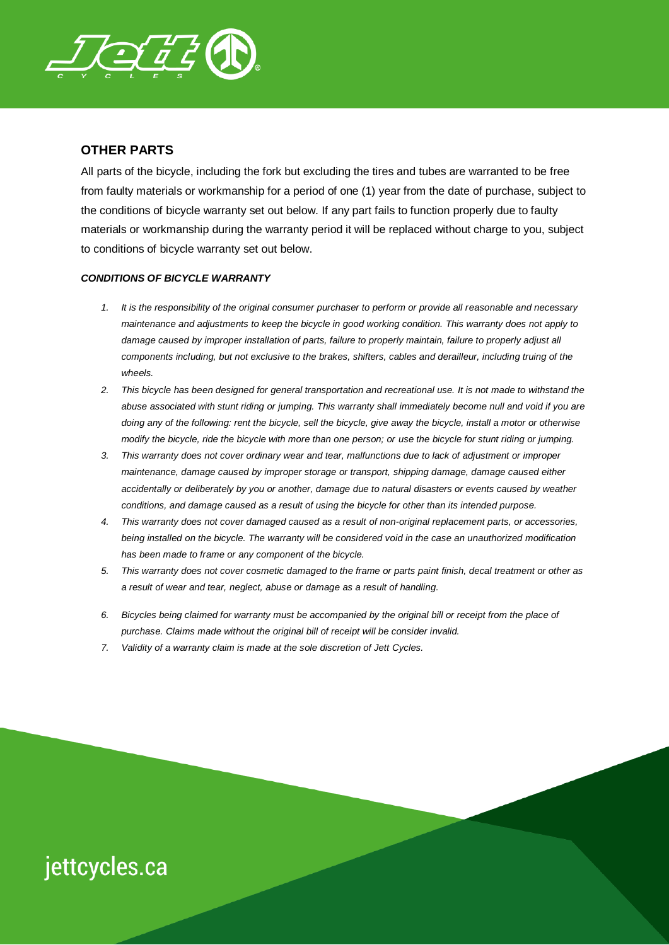

### **OTHER PARTS**

All parts of the bicycle, including the fork but excluding the tires and tubes are warranted to be free from faulty materials or workmanship for a period of one (1) year from the date of purchase, subject to the conditions of bicycle warranty set out below. If any part fails to function properly due to faulty materials or workmanship during the warranty period it will be replaced without charge to you, subject to conditions of bicycle warranty set out below.

#### *CONDITIONS OF BICYCLE WARRANTY*

- *1. It is the responsibility of the original consumer purchaser to perform or provide all reasonable and necessary maintenance and adjustments to keep the bicycle in good working condition. This warranty does not apply to*  damage caused by improper installation of parts, failure to properly maintain, failure to properly adjust all *components including, but not exclusive to the brakes, shifters, cables and derailleur, including truing of the wheels.*
- *2. This bicycle has been designed for general transportation and recreational use. It is not made to withstand the abuse associated with stunt riding or jumping. This warranty shall immediately become null and void if you are doing any of the following: rent the bicycle, sell the bicycle, give away the bicycle, install a motor or otherwise modify the bicycle, ride the bicycle with more than one person; or use the bicycle for stunt riding or jumping.*
- *3. This warranty does not cover ordinary wear and tear, malfunctions due to lack of adjustment or improper maintenance, damage caused by improper storage or transport, shipping damage, damage caused either accidentally or deliberately by you or another, damage due to natural disasters or events caused by weather conditions, and damage caused as a result of using the bicycle for other than its intended purpose.*
- *4. This warranty does not cover damaged caused as a result of non-original replacement parts, or accessories, being installed on the bicycle. The warranty will be considered void in the case an unauthorized modification has been made to frame or any component of the bicycle.*
- *5. This warranty does not cover cosmetic damaged to the frame or parts paint finish, decal treatment or other as a result of wear and tear, neglect, abuse or damage as a result of handling.*
- *6. Bicycles being claimed for warranty must be accompanied by the original bill or receipt from the place of purchase. Claims made without the original bill of receipt will be consider invalid.*
- *7. Validity of a warranty claim is made at the sole discretion of Jett Cycles.*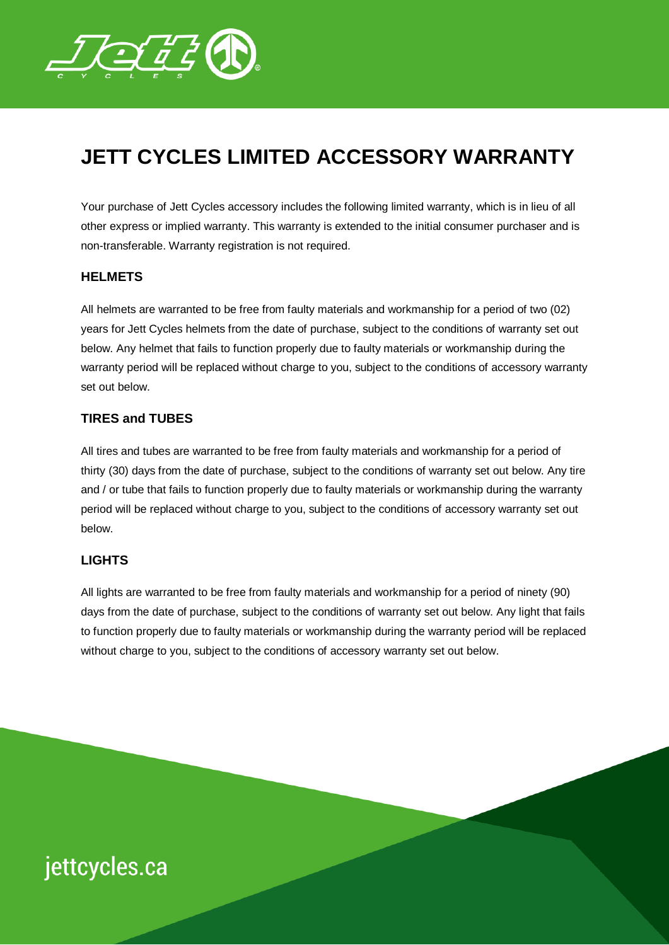

### **JETT CYCLES LIMITED ACCESSORY WARRANTY**

Your purchase of Jett Cycles accessory includes the following limited warranty, which is in lieu of all other express or implied warranty. This warranty is extended to the initial consumer purchaser and is non-transferable. Warranty registration is not required.

### **HELMETS**

All helmets are warranted to be free from faulty materials and workmanship for a period of two (02) years for Jett Cycles helmets from the date of purchase, subject to the conditions of warranty set out below. Any helmet that fails to function properly due to faulty materials or workmanship during the warranty period will be replaced without charge to you, subject to the conditions of accessory warranty set out below.

#### **TIRES and TUBES**

All tires and tubes are warranted to be free from faulty materials and workmanship for a period of thirty (30) days from the date of purchase, subject to the conditions of warranty set out below. Any tire and / or tube that fails to function properly due to faulty materials or workmanship during the warranty period will be replaced without charge to you, subject to the conditions of accessory warranty set out below.

#### **LIGHTS**

All lights are warranted to be free from faulty materials and workmanship for a period of ninety (90) days from the date of purchase, subject to the conditions of warranty set out below. Any light that fails to function properly due to faulty materials or workmanship during the warranty period will be replaced without charge to you, subject to the conditions of accessory warranty set out below.